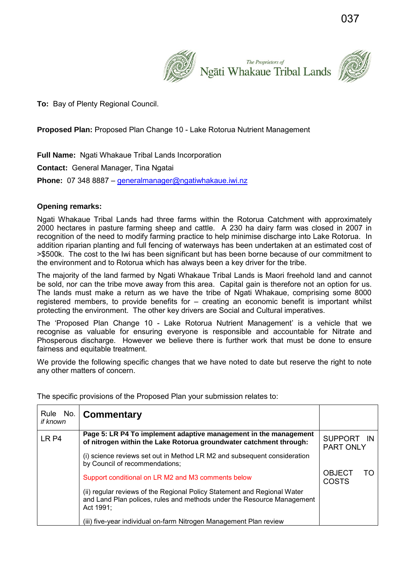

**To:** Bay of Plenty Regional Council.

## **Proposed Plan:** Proposed Plan Change 10 - Lake Rotorua Nutrient Management

**Full Name:** Ngati Whakaue Tribal Lands Incorporation **Contact:** General Manager, Tina Ngatai **Phone:** 07 348 8887 – [generalmanager@ngatiwhakaue.iwi.nz](mailto:generalmanager@ngatiwhakaue.iwi.nz)

## **Opening remarks:**

Ngati Whakaue Tribal Lands had three farms within the Rotorua Catchment with approximately 2000 hectares in pasture farming sheep and cattle. A 230 ha dairy farm was closed in 2007 in recognition of the need to modify farming practice to help minimise discharge into Lake Rotorua. In addition riparian planting and full fencing of waterways has been undertaken at an estimated cost of >\$500k. The cost to the Iwi has been significant but has been borne because of our commitment to the environment and to Rotorua which has always been a key driver for the tribe.

The majority of the land farmed by Ngati Whakaue Tribal Lands is Maori freehold land and cannot be sold, nor can the tribe move away from this area. Capital gain is therefore not an option for us. The lands must make a return as we have the tribe of Ngati Whakaue, comprising some 8000 registered members, to provide benefits for – creating an economic benefit is important whilst protecting the environment. The other key drivers are Social and Cultural imperatives.

The 'Proposed Plan Change 10 - Lake Rotorua Nutrient Management' is a vehicle that we recognise as valuable for ensuring everyone is responsible and accountable for Nitrate and Phosperous discharge. However we believe there is further work that must be done to ensure fairness and equitable treatment.

We provide the following specific changes that we have noted to date but reserve the right to note any other matters of concern.

The specific provisions of the Proposed Plan your submission relates to:

| Rule No.<br>if known | <b>Commentary</b>                                                                                                                                               |                                |    |
|----------------------|-----------------------------------------------------------------------------------------------------------------------------------------------------------------|--------------------------------|----|
| LR <sub>P4</sub>     | Page 5: LR P4 To implement adaptive management in the management<br>of nitrogen within the Lake Rotorua groundwater catchment through:                          | SUPPORT IN<br><b>PART ONLY</b> |    |
|                      | (i) science reviews set out in Method LR M2 and subsequent consideration<br>by Council of recommendations;                                                      |                                |    |
|                      | Support conditional on LR M2 and M3 comments below                                                                                                              | <b>OBJECT</b><br><b>COSTS</b>  | TO |
|                      | (ii) regular reviews of the Regional Policy Statement and Regional Water<br>and Land Plan polices, rules and methods under the Resource Management<br>Act 1991: |                                |    |
|                      | (iii) five-year individual on-farm Nitrogen Management Plan review                                                                                              |                                |    |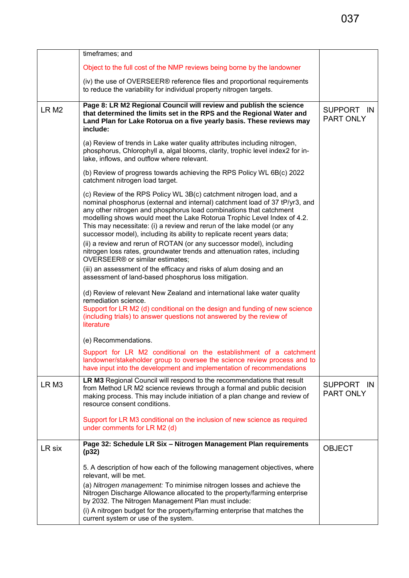|                  | timeframes; and                                                                                                                                                                                                                                                                                                                                                                                                                                           |                         |
|------------------|-----------------------------------------------------------------------------------------------------------------------------------------------------------------------------------------------------------------------------------------------------------------------------------------------------------------------------------------------------------------------------------------------------------------------------------------------------------|-------------------------|
|                  | Object to the full cost of the NMP reviews being borne by the landowner                                                                                                                                                                                                                                                                                                                                                                                   |                         |
|                  | (iv) the use of OVERSEER® reference files and proportional requirements<br>to reduce the variability for individual property nitrogen targets.                                                                                                                                                                                                                                                                                                            |                         |
| LR <sub>M2</sub> | Page 8: LR M2 Regional Council will review and publish the science<br>that determined the limits set in the RPS and the Regional Water and<br>Land Plan for Lake Rotorua on a five yearly basis. These reviews may<br>include:                                                                                                                                                                                                                            | SUPPORT IN<br>PART ONLY |
|                  | (a) Review of trends in Lake water quality attributes including nitrogen,<br>phosphorus, Chlorophyll a, algal blooms, clarity, trophic level index2 for in-<br>lake, inflows, and outflow where relevant.                                                                                                                                                                                                                                                 |                         |
|                  | (b) Review of progress towards achieving the RPS Policy WL 6B(c) 2022<br>catchment nitrogen load target.                                                                                                                                                                                                                                                                                                                                                  |                         |
|                  | (c) Review of the RPS Policy WL 3B(c) catchment nitrogen load, and a<br>nominal phosphorus (external and internal) catchment load of 37 tP/yr3, and<br>any other nitrogen and phosphorus load combinations that catchment<br>modelling shows would meet the Lake Rotorua Trophic Level Index of 4.2.<br>This may necessitate: (i) a review and rerun of the lake model (or any<br>successor model), including its ability to replicate recent years data; |                         |
|                  | (ii) a review and rerun of ROTAN (or any successor model), including<br>nitrogen loss rates, groundwater trends and attenuation rates, including<br>OVERSEER® or similar estimates;                                                                                                                                                                                                                                                                       |                         |
|                  | (iii) an assessment of the efficacy and risks of alum dosing and an<br>assessment of land-based phosphorus loss mitigation.                                                                                                                                                                                                                                                                                                                               |                         |
|                  | (d) Review of relevant New Zealand and international lake water quality<br>remediation science.<br>Support for LR M2 (d) conditional on the design and funding of new science<br>(including trials) to answer questions not answered by the review of<br>literature                                                                                                                                                                                       |                         |
|                  | (e) Recommendations.                                                                                                                                                                                                                                                                                                                                                                                                                                      |                         |
|                  | Support for LR M2 conditional on the establishment of a catchment<br>landowner/stakeholder group to oversee the science review process and to<br>have input into the development and implementation of recommendations                                                                                                                                                                                                                                    |                         |
| LR <sub>M3</sub> | LR M3 Regional Council will respond to the recommendations that result<br>from Method LR M2 science reviews through a formal and public decision<br>making process. This may include initiation of a plan change and review of<br>resource consent conditions.                                                                                                                                                                                            | SUPPORT IN<br>PART ONLY |
|                  | Support for LR M3 conditional on the inclusion of new science as required<br>under comments for LR M2 (d)                                                                                                                                                                                                                                                                                                                                                 |                         |
| LR six           | Page 32: Schedule LR Six - Nitrogen Management Plan requirements<br>(p32)                                                                                                                                                                                                                                                                                                                                                                                 | <b>OBJECT</b>           |
|                  | 5. A description of how each of the following management objectives, where<br>relevant, will be met.                                                                                                                                                                                                                                                                                                                                                      |                         |
|                  | (a) Nitrogen management: To minimise nitrogen losses and achieve the<br>Nitrogen Discharge Allowance allocated to the property/farming enterprise<br>by 2032. The Nitrogen Management Plan must include:                                                                                                                                                                                                                                                  |                         |
|                  | (i) A nitrogen budget for the property/farming enterprise that matches the<br>current system or use of the system.                                                                                                                                                                                                                                                                                                                                        |                         |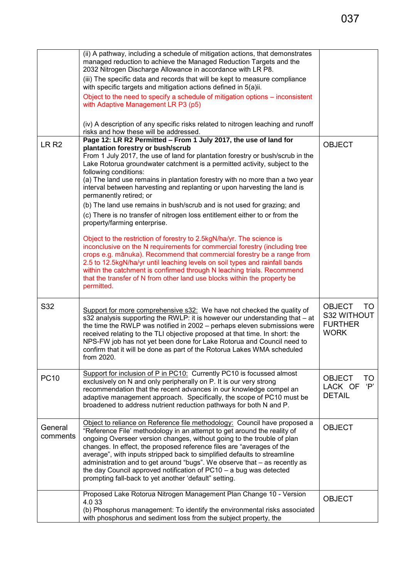|                     | (ii) A pathway, including a schedule of mitigation actions, that demonstrates<br>managed reduction to achieve the Managed Reduction Targets and the<br>2032 Nitrogen Discharge Allowance in accordance with LR P8.                                                                                                                                                                                                                                                                                                                                                                                                                                                                                                                                        |                                                                      |
|---------------------|-----------------------------------------------------------------------------------------------------------------------------------------------------------------------------------------------------------------------------------------------------------------------------------------------------------------------------------------------------------------------------------------------------------------------------------------------------------------------------------------------------------------------------------------------------------------------------------------------------------------------------------------------------------------------------------------------------------------------------------------------------------|----------------------------------------------------------------------|
|                     | (iii) The specific data and records that will be kept to measure compliance<br>with specific targets and mitigation actions defined in 5(a)ii.                                                                                                                                                                                                                                                                                                                                                                                                                                                                                                                                                                                                            |                                                                      |
|                     | Object to the need to specify a schedule of mitigation options – inconsistent<br>with Adaptive Management LR P3 (p5)                                                                                                                                                                                                                                                                                                                                                                                                                                                                                                                                                                                                                                      |                                                                      |
|                     | (iv) A description of any specific risks related to nitrogen leaching and runoff<br>risks and how these will be addressed.                                                                                                                                                                                                                                                                                                                                                                                                                                                                                                                                                                                                                                |                                                                      |
| LR <sub>R2</sub>    | Page 12: LR R2 Permitted - From 1 July 2017, the use of land for<br>plantation forestry or bush/scrub<br>From 1 July 2017, the use of land for plantation forestry or bush/scrub in the<br>Lake Rotorua groundwater catchment is a permitted activity, subject to the<br>following conditions:<br>(a) The land use remains in plantation forestry with no more than a two year<br>interval between harvesting and replanting or upon harvesting the land is<br>permanently retired; or<br>(b) The land use remains in bush/scrub and is not used for grazing; and<br>(c) There is no transfer of nitrogen loss entitlement either to or from the<br>property/farming enterprise.<br>Object to the restriction of forestry to 2.5kgN/ha/yr. The science is | <b>OBJECT</b>                                                        |
|                     | inconclusive on the N requirements for commercial forestry (including tree<br>crops e.g. mānuka). Recommend that commercial forestry be a range from<br>2.5 to 12.5kgN/ha/yr until leaching levels on soil types and rainfall bands<br>within the catchment is confirmed through N leaching trials. Recommend<br>that the transfer of N from other land use blocks within the property be<br>permitted.                                                                                                                                                                                                                                                                                                                                                   |                                                                      |
| S32                 | Support for more comprehensive s32: We have not checked the quality of<br>s32 analysis supporting the RWLP: it is however our understanding that - at<br>the time the RWLP was notified in 2002 - perhaps eleven submissions were<br>received relating to the TLI objective proposed at that time. In short: the<br>NPS-FW job has not yet been done for Lake Rotorua and Council need to<br>confirm that it will be done as part of the Rotorua Lakes WMA scheduled<br>trom 2020.                                                                                                                                                                                                                                                                        | <b>OBJECT</b><br>TO.<br>S32 WITHOUT<br><b>FURTHER</b><br><b>WORK</b> |
| <b>PC10</b>         | Support for inclusion of P in PC10: Currently PC10 is focussed almost<br>exclusively on N and only peripherally on P. It is our very strong<br>recommendation that the recent advances in our knowledge compel an<br>adaptive management approach. Specifically, the scope of PC10 must be<br>broadened to address nutrient reduction pathways for both N and P.                                                                                                                                                                                                                                                                                                                                                                                          | <b>OBJECT</b><br>TO<br>LACK OF<br>'P'<br><b>DETAIL</b>               |
| General<br>comments | Object to reliance on Reference file methodology: Council have proposed a<br>"Reference File' methodology in an attempt to get around the reality of<br>ongoing Overseer version changes, without going to the trouble of plan<br>changes. In effect, the proposed reference files are "averages of the<br>average", with inputs stripped back to simplified defaults to streamline<br>administration and to get around "bugs". We observe that - as recently as<br>the day Council approved notification of PC10 - a bug was detected<br>prompting fall-back to yet another 'default" setting.                                                                                                                                                           | <b>OBJECT</b>                                                        |
|                     | Proposed Lake Rotorua Nitrogen Management Plan Change 10 - Version<br>4.0 33<br>(b) Phosphorus management: To identify the environmental risks associated<br>with phosphorus and sediment loss from the subject property, the                                                                                                                                                                                                                                                                                                                                                                                                                                                                                                                             | <b>OBJECT</b>                                                        |